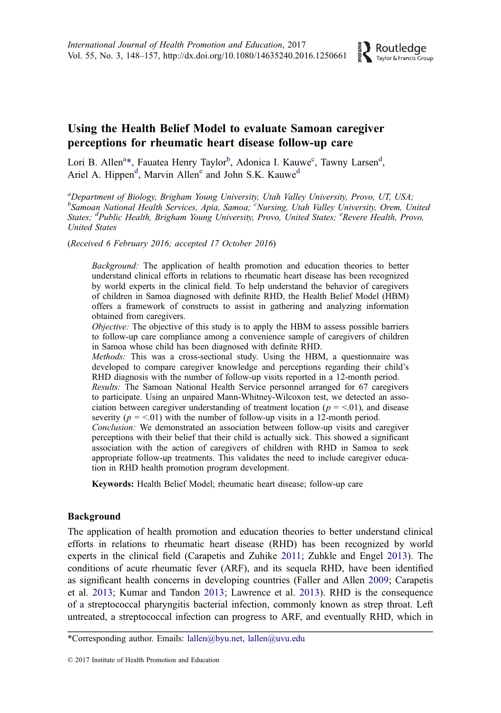# <span id="page-0-0"></span>Using the Health Belief Model to evaluate Samoan caregiver perceptions for rheumatic heart disease follow-up care

Lori B. Allen<sup>a</sup>\*, Fauatea Henry Taylor<sup>b</sup>, Adonica I. Kauwe<sup>c</sup>, Tawny Larsen<sup>d</sup>, Ariel A. Hippen<sup>d</sup>, Marvin Allene and John S.K. Kauwe<sup>d</sup>

<sup>a</sup>Department of Biology, Brigham Young University, Utah Valley University, Provo, UT, USA; <sup>b</sup>Samoan National Health Services, Apia, Samoa; <sup>c</sup>Nursing, Utah Valley University, Orem, United States; <sup>d</sup>Public Health, Brigham Young University, Provo, United States; <sup>e</sup>Revere Health, Provo, United States

(Received 6 February 2016; accepted 17 October 2016)

Background: The application of health promotion and education theories to better understand clinical efforts in relations to rheumatic heart disease has been recognized by world experts in the clinical field. To help understand the behavior of caregivers of children in Samoa diagnosed with definite RHD, the Health Belief Model (HBM) offers a framework of constructs to assist in gathering and analyzing information obtained from caregivers.

Objective: The objective of this study is to apply the HBM to assess possible barriers to follow-up care compliance among a convenience sample of caregivers of children in Samoa whose child has been diagnosed with definite RHD.

Methods: This was a cross-sectional study. Using the HBM, a questionnaire was developed to compare caregiver knowledge and perceptions regarding their child's RHD diagnosis with the number of follow-up visits reported in a 12-month period.

Results: The Samoan National Health Service personnel arranged for 67 caregivers to participate. Using an unpaired Mann-Whitney-Wilcoxon test, we detected an association between caregiver understanding of treatment location ( $p = < 0.01$ ), and disease severity ( $p = 0.01$ ) with the number of follow-up visits in a 12-month period.

Conclusion: We demonstrated an association between follow-up visits and caregiver perceptions with their belief that their child is actually sick. This showed a significant association with the action of caregivers of children with RHD in Samoa to seek appropriate follow-up treatments. This validates the need to include caregiver education in RHD health promotion program development.

Keywords: Health Belief Model; rheumatic heart disease; follow-up care

#### Background

The application of health promotion and education theories to better understand clinical efforts in relations to rheumatic heart disease (RHD) has been recognized by world experts in the clinical field (Carapetis and Zuhike [2011;](#page-8-0) Zuhkle and Engel [2013](#page-9-0)). The conditions of acute rheumatic fever (ARF), and its sequela RHD, have been identified as significant health concerns in developing countries (Faller and Allen [2009;](#page-8-0) Carapetis et al. [2013](#page-8-0); Kumar and Tandon [2013;](#page-8-0) Lawrence et al. [2013\)](#page-8-0). RHD is the consequence of a streptococcal pharyngitis bacterial infection, commonly known as strep throat. Left untreated, a streptococcal infection can progress to ARF, and eventually RHD, which in

<sup>\*</sup>Corresponding author. Emails: [lallen@byu.net,](mailto:lallen@byu.net) [lallen@uvu.edu](mailto:lallen@uvu.edu)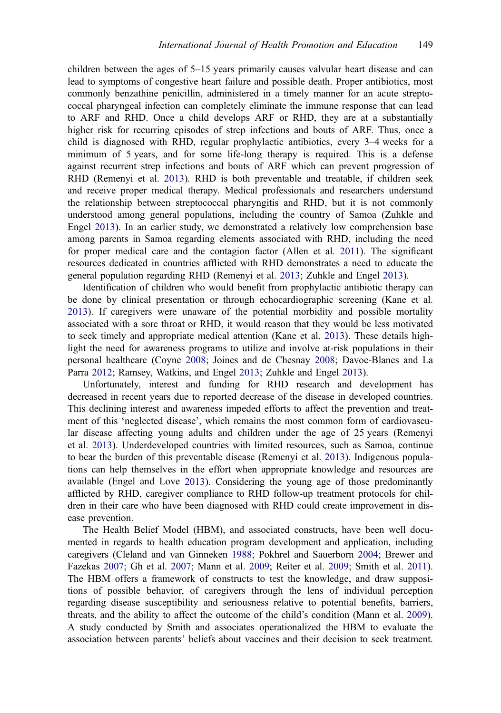<span id="page-1-0"></span>children between the ages of 5–15 years primarily causes valvular heart disease and can lead to symptoms of congestive heart failure and possible death. Proper antibiotics, most commonly benzathine penicillin, administered in a timely manner for an acute streptococcal pharyngeal infection can completely eliminate the immune response that can lead to ARF and RHD. Once a child develops ARF or RHD, they are at a substantially higher risk for recurring episodes of strep infections and bouts of ARF. Thus, once a child is diagnosed with RHD, regular prophylactic antibiotics, every 3–4 weeks for a minimum of 5 years, and for some life-long therapy is required. This is a defense against recurrent strep infections and bouts of ARF which can prevent progression of RHD (Remenyi et al. [2013\)](#page-9-0). RHD is both preventable and treatable, if children seek and receive proper medical therapy. Medical professionals and researchers understand the relationship between streptococcal pharyngitis and RHD, but it is not commonly understood among general populations, including the country of Samoa (Zuhkle and Engel [2013](#page-9-0)). In an earlier study, we demonstrated a relatively low comprehension base among parents in Samoa regarding elements associated with RHD, including the need for proper medical care and the contagion factor (Allen et al. [2011\)](#page-8-0). The significant resources dedicated in countries afflicted with RHD demonstrates a need to educate the general population regarding RHD (Remenyi et al. [2013;](#page-9-0) Zuhkle and Engel [2013](#page-9-0)).

Identification of children who would benefit from prophylactic antibiotic therapy can be done by clinical presentation or through echocardiographic screening (Kane et al. [2013\)](#page-8-0). If caregivers were unaware of the potential morbidity and possible mortality associated with a sore throat or RHD, it would reason that they would be less motivated to seek timely and appropriate medical attention (Kane et al. [2013\)](#page-8-0). These details highlight the need for awareness programs to utilize and involve at-risk populations in their personal healthcare (Coyne [2008;](#page-8-0) Joines and de Chesnay [2008](#page-8-0); Davoe-Blanes and La Parra [2012;](#page-8-0) Ramsey, Watkins, and Engel [2013;](#page-8-0) Zuhkle and Engel [2013](#page-9-0)).

Unfortunately, interest and funding for RHD research and development has decreased in recent years due to reported decrease of the disease in developed countries. This declining interest and awareness impeded efforts to affect the prevention and treatment of this 'neglected disease', which remains the most common form of cardiovascular disease affecting young adults and children under the age of 25 years (Remenyi et al. [2013\)](#page-9-0). Underdeveloped countries with limited resources, such as Samoa, continue to bear the burden of this preventable disease (Remenyi et al. [2013\)](#page-9-0). Indigenous populations can help themselves in the effort when appropriate knowledge and resources are available (Engel and Love [2013\)](#page-8-0). Considering the young age of those predominantly afflicted by RHD, caregiver compliance to RHD follow-up treatment protocols for children in their care who have been diagnosed with RHD could create improvement in disease prevention.

The Health Belief Model (HBM), and associated constructs, have been well documented in regards to health education program development and application, including caregivers (Cleland and van Ginneken [1988](#page-8-0); Pokhrel and Sauerborn [2004;](#page-8-0) Brewer and Fazekas [2007](#page-8-0); Gh et al. [2007](#page-8-0); Mann et al. [2009](#page-8-0); Reiter et al. [2009;](#page-8-0) Smith et al. [2011\)](#page-9-0). The HBM offers a framework of constructs to test the knowledge, and draw suppositions of possible behavior, of caregivers through the lens of individual perception regarding disease susceptibility and seriousness relative to potential benefits, barriers, threats, and the ability to affect the outcome of the child's condition (Mann et al. [2009\)](#page-8-0). A study conducted by Smith and associates operationalized the HBM to evaluate the association between parents' beliefs about vaccines and their decision to seek treatment.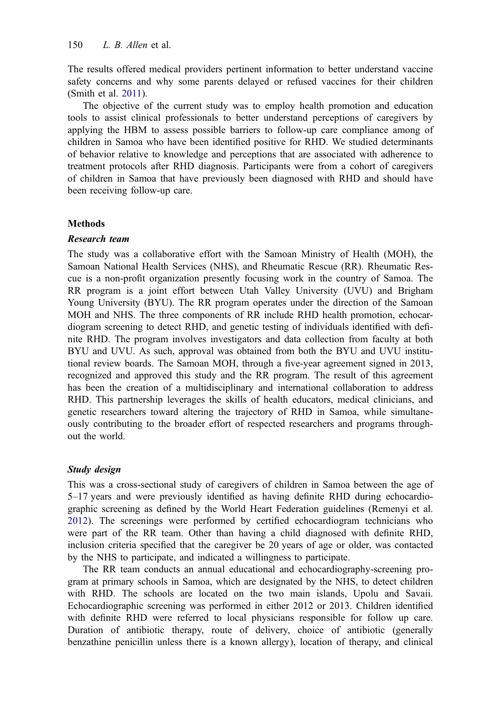<span id="page-2-0"></span>The results offered medical providers pertinent information to better understand vaccine safety concerns and why some parents delayed or refused vaccines for their children (Smith et al. [2011\)](#page-9-0).

The objective of the current study was to employ health promotion and education tools to assist clinical professionals to better understand perceptions of caregivers by applying the HBM to assess possible barriers to follow-up care compliance among of children in Samoa who have been identified positive for RHD. We studied determinants of behavior relative to knowledge and perceptions that are associated with adherence to treatment protocols after RHD diagnosis. Participants were from a cohort of caregivers of children in Samoa that have previously been diagnosed with RHD and should have been receiving follow-up care.

# **Methods**

# Research team

The study was a collaborative effort with the Samoan Ministry of Health (MOH), the Samoan National Health Services (NHS), and Rheumatic Rescue (RR). Rheumatic Rescue is a non-profit organization presently focusing work in the country of Samoa. The RR program is a joint effort between Utah Valley University (UVU) and Brigham Young University (BYU). The RR program operates under the direction of the Samoan MOH and NHS. The three components of RR include RHD health promotion, echocardiogram screening to detect RHD, and genetic testing of individuals identified with definite RHD. The program involves investigators and data collection from faculty at both BYU and UVU. As such, approval was obtained from both the BYU and UVU institutional review boards. The Samoan MOH, through a five-year agreement signed in 2013, recognized and approved this study and the RR program. The result of this agreement has been the creation of a multidisciplinary and international collaboration to address RHD. This partnership leverages the skills of health educators, medical clinicians, and genetic researchers toward altering the trajectory of RHD in Samoa, while simultaneously contributing to the broader effort of respected researchers and programs throughout the world.

# Study design

This was a cross-sectional study of caregivers of children in Samoa between the age of 5–17 years and were previously identified as having definite RHD during echocardiographic screening as defined by the World Heart Federation guidelines (Remenyi et al. [2012\)](#page-8-0). The screenings were performed by certified echocardiogram technicians who were part of the RR team. Other than having a child diagnosed with definite RHD, inclusion criteria specified that the caregiver be 20 years of age or older, was contacted by the NHS to participate, and indicated a willingness to participate.

The RR team conducts an annual educational and echocardiography-screening program at primary schools in Samoa, which are designated by the NHS, to detect children with RHD. The schools are located on the two main islands, Upolu and Savaii. Echocardiographic screening was performed in either 2012 or 2013. Children identified with definite RHD were referred to local physicians responsible for follow up care. Duration of antibiotic therapy, route of delivery, choice of antibiotic (generally benzathine penicillin unless there is a known allergy), location of therapy, and clinical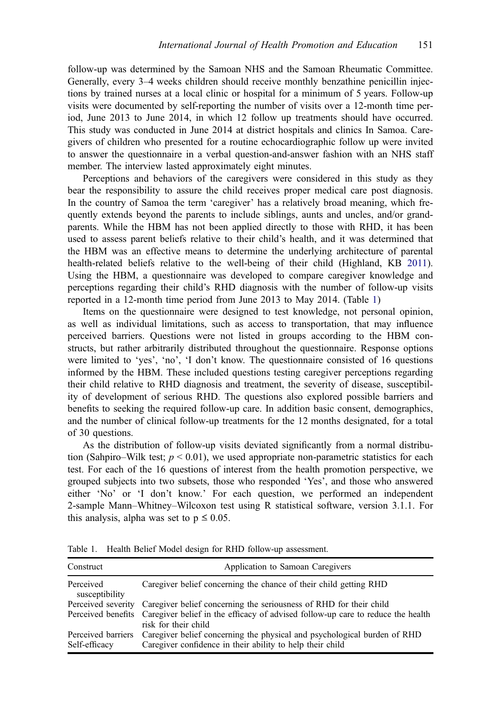<span id="page-3-0"></span>follow-up was determined by the Samoan NHS and the Samoan Rheumatic Committee. Generally, every 3–4 weeks children should receive monthly benzathine penicillin injections by trained nurses at a local clinic or hospital for a minimum of 5 years. Follow-up visits were documented by self-reporting the number of visits over a 12-month time period, June 2013 to June 2014, in which 12 follow up treatments should have occurred. This study was conducted in June 2014 at district hospitals and clinics In Samoa. Caregivers of children who presented for a routine echocardiographic follow up were invited to answer the questionnaire in a verbal question-and-answer fashion with an NHS staff member. The interview lasted approximately eight minutes.

Perceptions and behaviors of the caregivers were considered in this study as they bear the responsibility to assure the child receives proper medical care post diagnosis. In the country of Samoa the term 'caregiver' has a relatively broad meaning, which frequently extends beyond the parents to include siblings, aunts and uncles, and/or grandparents. While the HBM has not been applied directly to those with RHD, it has been used to assess parent beliefs relative to their child's health, and it was determined that the HBM was an effective means to determine the underlying architecture of parental health-related beliefs relative to the well-being of their child (Highland, KB [2011\)](#page-8-0). Using the HBM, a questionnaire was developed to compare caregiver knowledge and perceptions regarding their child's RHD diagnosis with the number of follow-up visits reported in a 12-month time period from June 2013 to May 2014. (Table 1)

Items on the questionnaire were designed to test knowledge, not personal opinion, as well as individual limitations, such as access to transportation, that may influence perceived barriers. Questions were not listed in groups according to the HBM constructs, but rather arbitrarily distributed throughout the questionnaire. Response options were limited to 'yes', 'no', 'I don't know. The questionnaire consisted of 16 questions informed by the HBM. These included questions testing caregiver perceptions regarding their child relative to RHD diagnosis and treatment, the severity of disease, susceptibility of development of serious RHD. The questions also explored possible barriers and benefits to seeking the required follow-up care. In addition basic consent, demographics, and the number of clinical follow-up treatments for the 12 months designated, for a total of 30 questions.

As the distribution of follow-up visits deviated significantly from a normal distribution (Sahpiro–Wilk test;  $p < 0.01$ ), we used appropriate non-parametric statistics for each test. For each of the 16 questions of interest from the health promotion perspective, we grouped subjects into two subsets, those who responded 'Yes', and those who answered either 'No' or 'I don't know.' For each question, we performed an independent 2-sample Mann–Whitney–Wilcoxon test using R statistical software, version 3.1.1. For this analysis, alpha was set to  $p \leq 0.05$ .

| Construct                           | Application to Samoan Caregivers                                                                                                      |
|-------------------------------------|---------------------------------------------------------------------------------------------------------------------------------------|
| Perceived<br>susceptibility         | Caregiver belief concerning the chance of their child getting RHD                                                                     |
|                                     | Perceived severity Caregiver belief concerning the seriousness of RHD for their child                                                 |
|                                     | Perceived benefits Caregiver belief in the efficacy of advised follow-up care to reduce the health<br>risk for their child            |
| Perceived barriers<br>Self-efficacy | Caregiver belief concerning the physical and psychological burden of RHD<br>Caregiver confidence in their ability to help their child |

Table 1. Health Belief Model design for RHD follow-up assessment.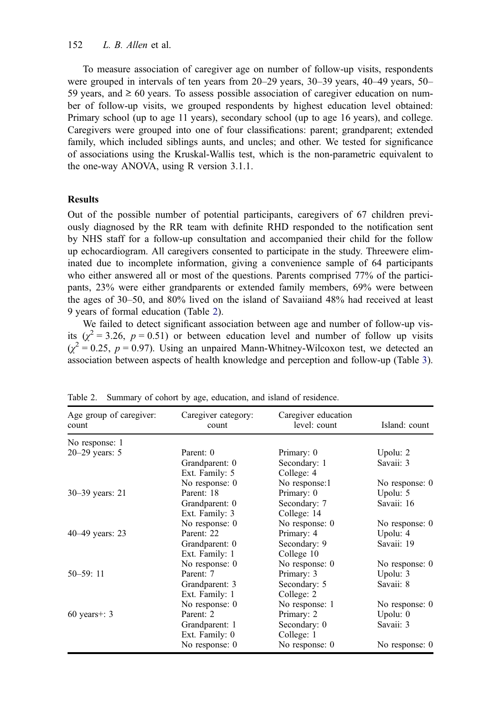To measure association of caregiver age on number of follow-up visits, respondents were grouped in intervals of ten years from 20–29 years, 30–39 years, 40–49 years, 50– 59 years, and  $\geq 60$  years. To assess possible association of caregiver education on number of follow-up visits, we grouped respondents by highest education level obtained: Primary school (up to age 11 years), secondary school (up to age 16 years), and college. Caregivers were grouped into one of four classifications: parent; grandparent; extended family, which included siblings aunts, and uncles; and other. We tested for significance of associations using the Kruskal-Wallis test, which is the non-parametric equivalent to the one-way ANOVA, using R version 3.1.1.

### **Results**

Out of the possible number of potential participants, caregivers of 67 children previously diagnosed by the RR team with definite RHD responded to the notification sent by NHS staff for a follow-up consultation and accompanied their child for the follow up echocardiogram. All caregivers consented to participate in the study. Threewere eliminated due to incomplete information, giving a convenience sample of 64 participants who either answered all or most of the questions. Parents comprised 77% of the participants, 23% were either grandparents or extended family members, 69% were between the ages of 30–50, and 80% lived on the island of Savaiiand 48% had received at least 9 years of formal education (Table 2).

We failed to detect significant association between age and number of follow-up visits  $(\chi^2 = 3.26, p = 0.51)$  or between education level and number of follow up visits  $(\chi^2 = 0.25, p = 0.97)$ . Using an unpaired Mann-Whitney-Wilcoxon test, we detected an association between aspects of health knowledge and perception and follow-up (Table [3\)](#page-5-0).

| Age group of caregiver:<br>count | Caregiver category:<br>count | Caregiver education<br>level: count | Island: count  |
|----------------------------------|------------------------------|-------------------------------------|----------------|
| No response: 1                   |                              |                                     |                |
| $20-29$ years: 5                 | Parent: 0                    | Primary: 0                          | Upolu: 2       |
|                                  | Grandparent: 0               | Secondary: 1                        | Savaii: 3      |
|                                  | Ext. Family: 5               | College: 4                          |                |
|                                  | No response: 0               | No response:1                       | No response: 0 |
| 30–39 years: 21                  | Parent: 18                   | Primary: 0                          | Upolu: 5       |
|                                  | Grandparent: 0               | Secondary: 7                        | Savaii: 16     |
|                                  | Ext. Family: 3               | College: 14                         |                |
|                                  | No response: 0               | No response: 0                      | No response: 0 |
| 40–49 years: 23                  | Parent: 22                   | Primary: 4                          | Upolu: 4       |
|                                  | Grandparent: 0               | Secondary: 9                        | Savaii: 19     |
|                                  | Ext. Family: 1               | College 10                          |                |
|                                  | No response: 0               | No response: 0                      | No response: 0 |
| $50 - 59:11$                     | Parent: 7                    | Primary: 3                          | Upolu: 3       |
|                                  | Grandparent: 3               | Secondary: 5                        | Savaii: 8      |
|                                  | Ext. Family: 1               | College: 2                          |                |
|                                  | No response: 0               | No response: 1                      | No response: 0 |
| $60$ years+: 3                   | Parent: 2                    | Primary: 2                          | Upolu: $0$     |
|                                  | Grandparent: 1               | Secondary: 0                        | Savaii: 3      |
|                                  | Ext. Family: 0               | College: 1                          |                |
|                                  | No response: 0               | No response: 0                      | No response: 0 |

Table 2. Summary of cohort by age, education, and island of residence.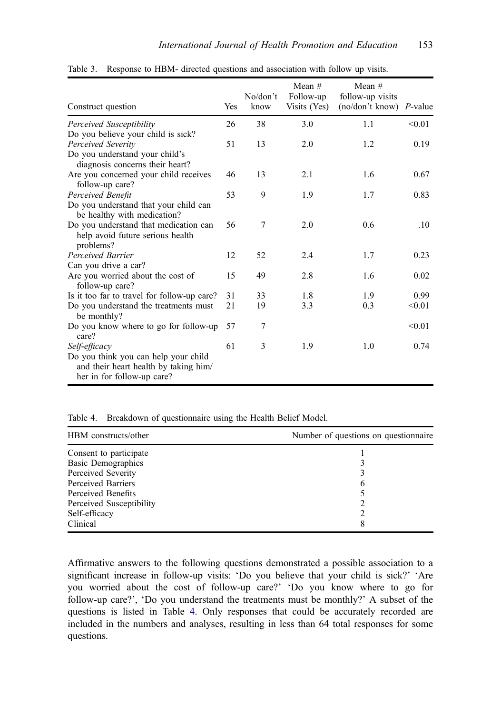| Construct question                                                                                          | Yes | No/don't<br>know | Mean $#$<br>Follow-up<br>Visits (Yes) | Mean $#$<br>follow-up visits<br>(no/don't know) P-value |        |
|-------------------------------------------------------------------------------------------------------------|-----|------------------|---------------------------------------|---------------------------------------------------------|--------|
| Perceived Susceptibility                                                                                    | 26  | 38               | 3.0                                   | 1.1                                                     | < 0.01 |
| Do you believe your child is sick?                                                                          |     |                  |                                       |                                                         |        |
| Perceived Severity                                                                                          | 51  | 13               | 2.0                                   | 1.2                                                     | 0.19   |
| Do you understand your child's<br>diagnosis concerns their heart?                                           |     |                  |                                       |                                                         |        |
| Are you concerned your child receives<br>follow-up care?                                                    | 46  | 13               | 2.1                                   | 1.6                                                     | 0.67   |
| Perceived Benefit                                                                                           | 53  | 9                | 1.9                                   | 1.7                                                     | 0.83   |
| Do you understand that your child can<br>be healthy with medication?                                        |     |                  |                                       |                                                         |        |
| Do you understand that medication can<br>help avoid future serious health<br>problems?                      | 56  | 7                | 2.0                                   | 0.6                                                     | .10    |
| Perceived Barrier                                                                                           | 12  | 52               | 2.4                                   | 1.7                                                     | 0.23   |
| Can you drive a car?                                                                                        |     |                  |                                       |                                                         |        |
| Are you worried about the cost of<br>follow-up care?                                                        | 15  | 49               | 2.8                                   | 1.6                                                     | 0.02   |
| Is it too far to travel for follow-up care?                                                                 | 31  | 33               | 1.8                                   | 1.9                                                     | 0.99   |
| Do you understand the treatments must<br>be monthly?                                                        | 21  | 19               | 3.3                                   | 0.3                                                     | < 0.01 |
| Do you know where to go for follow-up<br>care?                                                              | 57  | 7                |                                       |                                                         | < 0.01 |
| Self-efficacy                                                                                               | 61  | 3                | 1.9                                   | 1.0                                                     | 0.74   |
| Do you think you can help your child<br>and their heart health by taking him/<br>her in for follow-up care? |     |                  |                                       |                                                         |        |

<span id="page-5-0"></span>Table 3. Response to HBM- directed questions and association with follow up visits.

Table 4. Breakdown of questionnaire using the Health Belief Model.

| HBM constructs/other     | Number of questions on questionnaire |
|--------------------------|--------------------------------------|
| Consent to participate   |                                      |
| Basic Demographics       |                                      |
| Perceived Severity       |                                      |
| Perceived Barriers       | b                                    |
| Perceived Benefits       |                                      |
| Perceived Susceptibility |                                      |
| Self-efficacy            |                                      |
| Clinical                 | 8                                    |

Affirmative answers to the following questions demonstrated a possible association to a significant increase in follow-up visits: 'Do you believe that your child is sick?' 'Are you worried about the cost of follow-up care?' 'Do you know where to go for follow-up care?', 'Do you understand the treatments must be monthly?' A subset of the questions is listed in Table 4. Only responses that could be accurately recorded are included in the numbers and analyses, resulting in less than 64 total responses for some questions.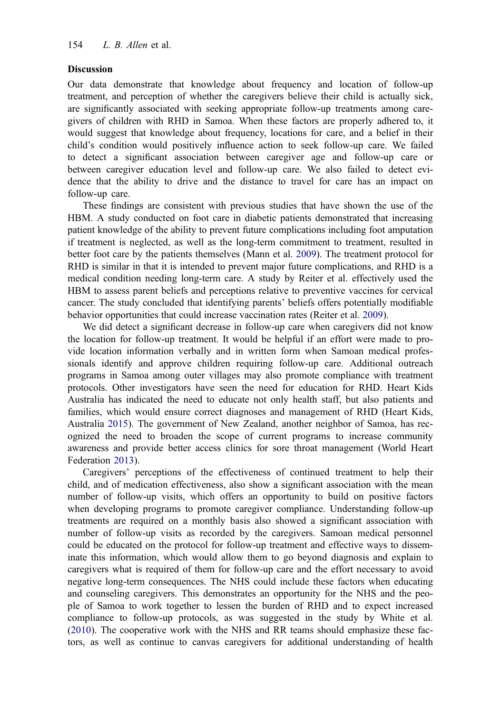#### <span id="page-6-0"></span>Discussion

Our data demonstrate that knowledge about frequency and location of follow-up treatment, and perception of whether the caregivers believe their child is actually sick, are significantly associated with seeking appropriate follow-up treatments among caregivers of children with RHD in Samoa. When these factors are properly adhered to, it would suggest that knowledge about frequency, locations for care, and a belief in their child's condition would positively influence action to seek follow-up care. We failed to detect a significant association between caregiver age and follow-up care or between caregiver education level and follow-up care. We also failed to detect evidence that the ability to drive and the distance to travel for care has an impact on follow-up care.

These findings are consistent with previous studies that have shown the use of the HBM. A study conducted on foot care in diabetic patients demonstrated that increasing patient knowledge of the ability to prevent future complications including foot amputation if treatment is neglected, as well as the long-term commitment to treatment, resulted in better foot care by the patients themselves (Mann et al. [2009\)](#page-8-0). The treatment protocol for RHD is similar in that it is intended to prevent major future complications, and RHD is a medical condition needing long-term care. A study by Reiter et al. effectively used the HBM to assess parent beliefs and perceptions relative to preventive vaccines for cervical cancer. The study concluded that identifying parents' beliefs offers potentially modifiable behavior opportunities that could increase vaccination rates (Reiter et al. [2009](#page-8-0)).

We did detect a significant decrease in follow-up care when caregivers did not know the location for follow-up treatment. It would be helpful if an effort were made to provide location information verbally and in written form when Samoan medical professionals identify and approve children requiring follow-up care. Additional outreach programs in Samoa among outer villages may also promote compliance with treatment protocols. Other investigators have seen the need for education for RHD. Heart Kids Australia has indicated the need to educate not only health staff, but also patients and families, which would ensure correct diagnoses and management of RHD (Heart Kids, Australia [2015](#page-8-0)). The government of New Zealand, another neighbor of Samoa, has recognized the need to broaden the scope of current programs to increase community awareness and provide better access clinics for sore throat management (World Heart Federation [2013](#page-9-0)).

Caregivers' perceptions of the effectiveness of continued treatment to help their child, and of medication effectiveness, also show a significant association with the mean number of follow-up visits, which offers an opportunity to build on positive factors when developing programs to promote caregiver compliance. Understanding follow-up treatments are required on a monthly basis also showed a significant association with number of follow-up visits as recorded by the caregivers. Samoan medical personnel could be educated on the protocol for follow-up treatment and effective ways to disseminate this information, which would allow them to go beyond diagnosis and explain to caregivers what is required of them for follow-up care and the effort necessary to avoid negative long-term consequences. The NHS could include these factors when educating and counseling caregivers. This demonstrates an opportunity for the NHS and the people of Samoa to work together to lessen the burden of RHD and to expect increased compliance to follow-up protocols, as was suggested in the study by White et al. ([2010\)](#page-9-0). The cooperative work with the NHS and RR teams should emphasize these factors, as well as continue to canvas caregivers for additional understanding of health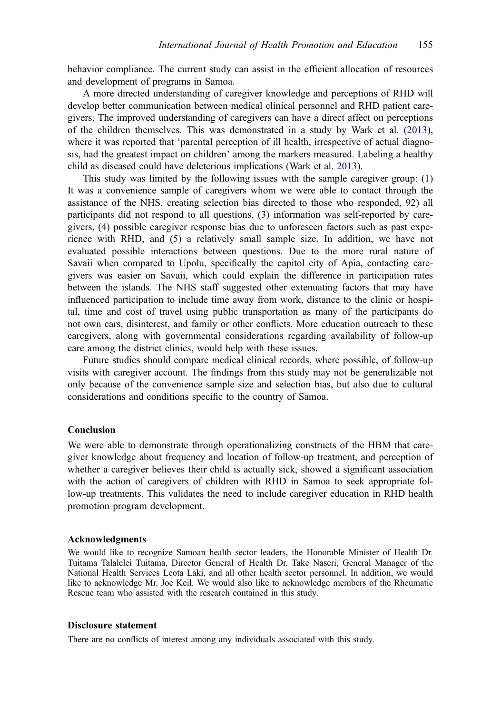<span id="page-7-0"></span>behavior compliance. The current study can assist in the efficient allocation of resources and development of programs in Samoa.

A more directed understanding of caregiver knowledge and perceptions of RHD will develop better communication between medical clinical personnel and RHD patient caregivers. The improved understanding of caregivers can have a direct affect on perceptions of the children themselves. This was demonstrated in a study by Wark et al. ([2013\)](#page-9-0), where it was reported that 'parental perception of ill health, irrespective of actual diagnosis, had the greatest impact on children' among the markers measured. Labeling a healthy child as diseased could have deleterious implications (Wark et al. [2013\)](#page-9-0).

This study was limited by the following issues with the sample caregiver group: (1) It was a convenience sample of caregivers whom we were able to contact through the assistance of the NHS, creating selection bias directed to those who responded, 92) all participants did not respond to all questions, (3) information was self-reported by caregivers, (4) possible caregiver response bias due to unforeseen factors such as past experience with RHD, and (5) a relatively small sample size. In addition, we have not evaluated possible interactions between questions. Due to the more rural nature of Savaii when compared to Upolu, specifically the capitol city of Apia, contacting caregivers was easier on Savaii, which could explain the difference in participation rates between the islands. The NHS staff suggested other extenuating factors that may have influenced participation to include time away from work, distance to the clinic or hospital, time and cost of travel using public transportation as many of the participants do not own cars, disinterest, and family or other conflicts. More education outreach to these caregivers, along with governmental considerations regarding availability of follow-up care among the district clinics, would help with these issues.

Future studies should compare medical clinical records, where possible, of follow-up visits with caregiver account. The findings from this study may not be generalizable not only because of the convenience sample size and selection bias, but also due to cultural considerations and conditions specific to the country of Samoa.

#### Conclusion

We were able to demonstrate through operationalizing constructs of the HBM that caregiver knowledge about frequency and location of follow-up treatment, and perception of whether a caregiver believes their child is actually sick, showed a significant association with the action of caregivers of children with RHD in Samoa to seek appropriate follow-up treatments. This validates the need to include caregiver education in RHD health promotion program development.

#### Acknowledgments

We would like to recognize Samoan health sector leaders, the Honorable Minister of Health Dr. Tuitama Talalelei Tuitama, Director General of Health Dr. Take Naseri, General Manager of the National Health Services Leota Laki, and all other health sector personnel. In addition, we would like to acknowledge Mr. Joe Keil. We would also like to acknowledge members of the Rheumatic Rescue team who assisted with the research contained in this study.

#### Disclosure statement

There are no conflicts of interest among any individuals associated with this study.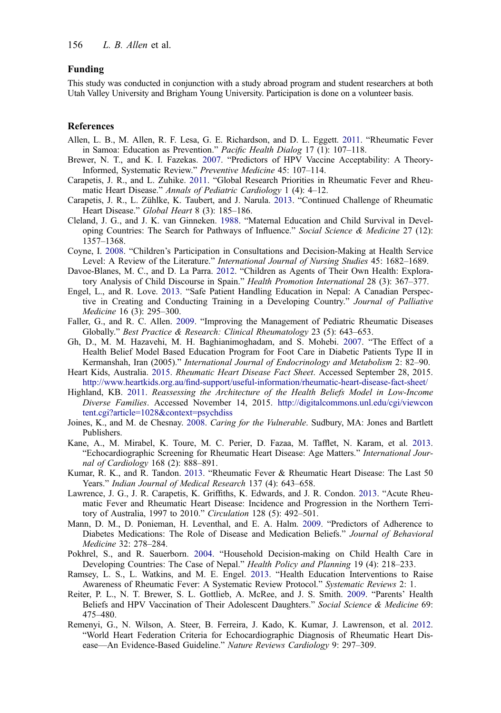#### <span id="page-8-0"></span>Funding

This study was conducted in conjunction with a study abroad program and student researchers at both Utah Valley University and Brigham Young University. Participation is done on a volunteer basis.

#### References

- Allen, L. B., M. Allen, R. F. Lesa, G. E. Richardson, and D. L. Eggett. [2011.](#page-1-0) "Rheumatic Fever in Samoa: Education as Prevention." Pacific Health Dialog 17 (1): 107–118.
- Brewer, N. T., and K. I. Fazekas. [2007.](#page-1-0) "Predictors of HPV Vaccine Acceptability: A Theory-Informed, Systematic Review." Preventive Medicine 45: 107–114.
- Carapetis, J. R., and L. Zuhike. [2011](#page-0-0). "Global Research Priorities in Rheumatic Fever and Rheumatic Heart Disease." Annals of Pediatric Cardiology 1 (4): 4–12.
- Carapetis, J. R., L. Zühlke, K. Taubert, and J. Narula. [2013.](#page-0-0) "Continued Challenge of Rheumatic Heart Disease." Global Heart 8 (3): 185-186.
- Cleland, J. G., and J. K. van Ginneken. [1988](#page-1-0). "Maternal Education and Child Survival in Developing Countries: The Search for Pathways of Influence." Social Science & Medicine 27 (12): 1357–1368.
- Coyne, I. [2008.](#page-1-0) "Children's Participation in Consultations and Decision-Making at Health Service Level: A Review of the Literature." International Journal of Nursing Studies 45: 1682–1689.
- Davoe-Blanes, M. C., and D. La Parra. [2012](#page-1-0). "Children as Agents of Their Own Health: Exploratory Analysis of Child Discourse in Spain." Health Promotion International 28 (3): 367–377.
- Engel, L., and R. Love. [2013](#page-1-0). "Safe Patient Handling Education in Nepal: A Canadian Perspective in Creating and Conducting Training in a Developing Country." Journal of Palliative Medicine 16 (3): 295–300.
- Faller, G., and R. C. Allen. [2009](#page-0-0). "Improving the Management of Pediatric Rheumatic Diseases Globally." Best Practice & Research: Clinical Rheumatology 23 (5): 643–653.
- Gh, D., M. M. Hazavehi, M. H. Baghianimoghadam, and S. Mohebi. [2007](#page-1-0). "The Effect of a Health Belief Model Based Education Program for Foot Care in Diabetic Patients Type II in Kermanshah, Iran (2005)." International Journal of Endocrinology and Metabolism 2: 82–90.
- Heart Kids, Australia. [2015.](#page-6-0) Rheumatic Heart Disease Fact Sheet. Accessed September 28, 2015. http://www.heartkids.org.au/fi[nd-support/useful-information/rheumatic-heart-disease-fact-sheet/](http://www.heartkids.org.au/find-support/useful-information/rheumatic-heart-disease-fact-sheet/)
- Highland, KB. [2011](#page-3-0). Reassessing the Architecture of the Health Beliefs Model in Low-Income Diverse Families. Accessed November 14, 2015. [http://digitalcommons.unl.edu/cgi/viewcon](http://digitalcommons.unl.edu/cgi/viewcontent.cgi?article=1028&context=psychdiss) [tent.cgi?article=1028&context=psychdiss](http://digitalcommons.unl.edu/cgi/viewcontent.cgi?article=1028&context=psychdiss)
- Joines, K., and M. de Chesnay. [2008.](#page-1-0) Caring for the Vulnerable. Sudbury, MA: Jones and Bartlett Publishers.
- Kane, A., M. Mirabel, K. Toure, M. C. Perier, D. Fazaa, M. Tafflet, N. Karam, et al. [2013](#page-1-0). "Echocardiographic Screening for Rheumatic Heart Disease: Age Matters." International Journal of Cardiology 168 (2): 888–891.
- Kumar, R. K., and R. Tandon. [2013.](#page-0-0) "Rheumatic Fever & Rheumatic Heart Disease: The Last 50 Years." Indian Journal of Medical Research 137 (4): 643–658.
- Lawrence, J. G., J. R. Carapetis, K. Griffiths, K. Edwards, and J. R. Condon. [2013](#page-0-0). "Acute Rheumatic Fever and Rheumatic Heart Disease: Incidence and Progression in the Northern Territory of Australia, 1997 to 2010." Circulation 128 (5): 492–501.
- Mann, D. M., D. Ponieman, H. Leventhal, and E. A. Halm. [2009](#page-1-0). "Predictors of Adherence to Diabetes Medications: The Role of Disease and Medication Beliefs." Journal of Behavioral Medicine 32: 278–284.
- Pokhrel, S., and R. Sauerborn. [2004](#page-1-0). "Household Decision-making on Child Health Care in Developing Countries: The Case of Nepal." Health Policy and Planning 19 (4): 218–233.
- Ramsey, L. S., L. Watkins, and M. E. Engel. [2013.](#page-1-0) "Health Education Interventions to Raise Awareness of Rheumatic Fever: A Systematic Review Protocol." Systematic Reviews 2: 1.
- Reiter, P. L., N. T. Brewer, S. L. Gottlieb, A. McRee, and J. S. Smith. [2009.](#page-1-0) "Parents' Health Beliefs and HPV Vaccination of Their Adolescent Daughters." Social Science & Medicine 69: 475–480.
- Remenyi, G., N. Wilson, A. Steer, B. Ferreira, J. Kado, K. Kumar, J. Lawrenson, et al. [2012](#page-2-0). "World Heart Federation Criteria for Echocardiographic Diagnosis of Rheumatic Heart Disease—An Evidence-Based Guideline." Nature Reviews Cardiology 9: 297–309.